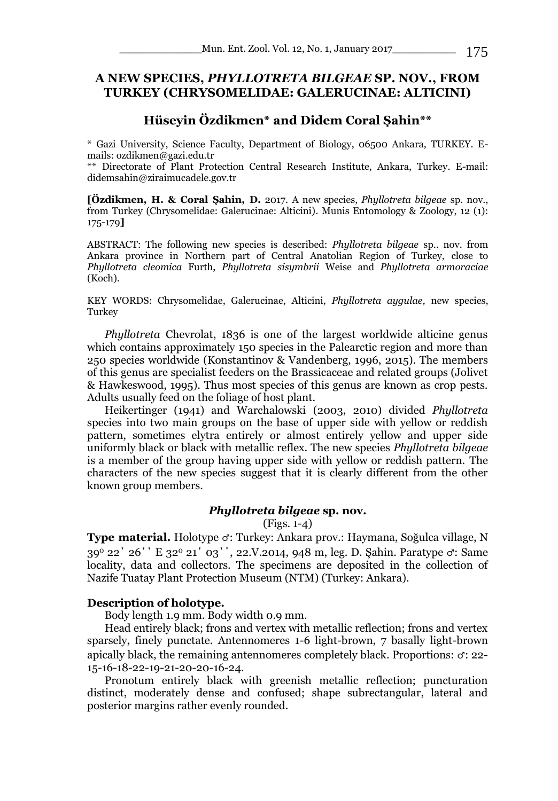# **A NEW SPECIES,** *PHYLLOTRETA BILGEAE* **SP. NOV., FROM TURKEY (CHRYSOMELIDAE: GALERUCINAE: ALTICINI)**

# **Hüseyin Özdikmen\* and Didem Coral Şahin\*\***

\* Gazi University, Science Faculty, Department of Biology, 06500 Ankara, TURKEY. Emails: ozdikmen@gazi.edu.tr

\*\* Directorate of Plant Protection Central Research Institute, Ankara, Turkey. E-mail: didemsahin@ziraimucadele.gov.tr

**[Özdikmen, H. & Coral Şahin, D.** 2017. A new species, *Phyllotreta bilgeae* sp. nov., from Turkey (Chrysomelidae: Galerucinae: Alticini). Munis Entomology & Zoology, 12 (1): 175-179**]**

ABSTRACT: The following new species is described: *Phyllotreta bilgeae* sp.. nov. from Ankara province in Northern part of Central Anatolian Region of Turkey, close to *Phyllotreta cleomica* Furth, *Phyllotreta sisymbrii* Weise and *Phyllotreta armoraciae*  (Koch).

KEY WORDS: Chrysomelidae, Galerucinae, Alticini, *Phyllotreta aygulae,* new species, Turkey

*Phyllotreta* Chevrolat, 1836 is one of the largest worldwide alticine genus which contains approximately 150 species in the Palearctic region and more than 250 species worldwide (Konstantinov & Vandenberg, 1996, 2015). The members of this genus are specialist feeders on the Brassicaceae and related groups (Jolivet & Hawkeswood, 1995). Thus most species of this genus are known as crop pests. Adults usually feed on the foliage of host plant.

Heikertinger (1941) and Warchalowski (2003, 2010) divided *Phyllotreta*  species into two main groups on the base of upper side with yellow or reddish pattern, sometimes elytra entirely or almost entirely yellow and upper side uniformly black or black with metallic reflex. The new species *Phyllotreta bilgeae* is a member of the group having upper side with yellow or reddish pattern. The characters of the new species suggest that it is clearly different from the other known group members.

## *Phyllotreta bilgeae* **sp. nov.**

(Figs. 1-4)

**Type material.** Holotype ♂: Turkey: Ankara prov.: Haymana, Soğulca village, N 39<sup>0</sup> 22΄ 26΄΄ E 32<sup>0</sup> 21΄ 03΄΄, 22.V.2014, 948 m, leg. D. Şahin. Paratype ♂: Same locality, data and collectors. The specimens are deposited in the collection of Nazife Tuatay Plant Protection Museum (NTM) (Turkey: Ankara).

### **Description of holotype.**

Body length 1.9 mm. Body width 0.9 mm.

Head entirely black; frons and vertex with metallic reflection; frons and vertex sparsely, finely punctate. Antennomeres 1-6 light-brown, 7 basally light-brown apically black, the remaining antennomeres completely black. Proportions:  $\sigma$ : 22-15-16-18-22-19-21-20-20-16-24.

Pronotum entirely black with greenish metallic reflection; puncturation distinct, moderately dense and confused; shape subrectangular, lateral and posterior margins rather evenly rounded.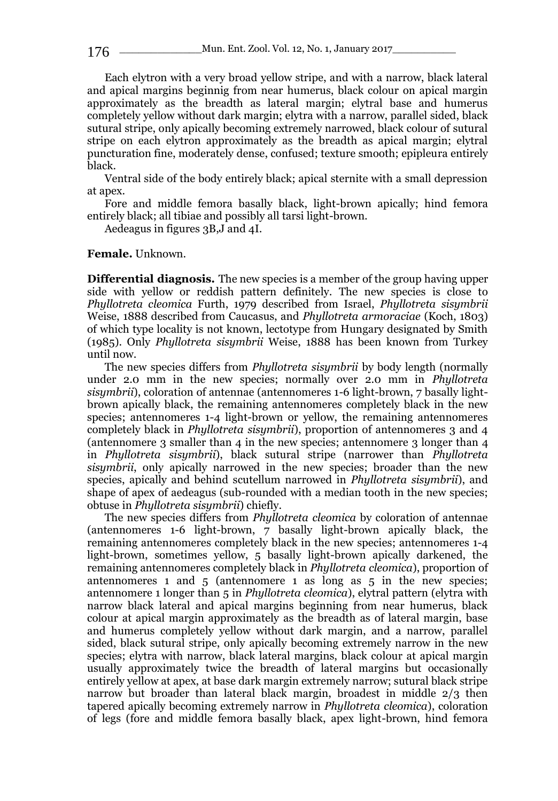176 \_\_\_\_\_\_\_\_\_\_\_\_\_\_\_\_\_\_\_\_\_Mun. Ent. Zool. Vol. 12, No. 1, January 2017

Each elytron with a very broad yellow stripe, and with a narrow, black lateral and apical margins beginnig from near humerus, black colour on apical margin approximately as the breadth as lateral margin; elytral base and humerus completely yellow without dark margin; elytra with a narrow, parallel sided, black sutural stripe, only apically becoming extremely narrowed, black colour of sutural stripe on each elytron approximately as the breadth as apical margin; elytral puncturation fine, moderately dense, confused; texture smooth; epipleura entirely black.

Ventral side of the body entirely black; apical sternite with a small depression at apex.

Fore and middle femora basally black, light-brown apically; hind femora entirely black; all tibiae and possibly all tarsi light-brown.

Aedeagus in figures 3B,J and 4I.

#### **Female.** Unknown.

**Differential diagnosis.** The new species is a member of the group having upper side with yellow or reddish pattern definitely. The new species is close to *Phyllotreta cleomica* Furth, 1979 described from Israel, *Phyllotreta sisymbrii*  Weise, 1888 described from Caucasus, and *Phyllotreta armoraciae* (Koch, 1803) of which type locality is not known, lectotype from Hungary designated by Smith (1985). Only *Phyllotreta sisymbrii* Weise, 1888 has been known from Turkey until now.

The new species differs from *Phyllotreta sisymbrii* by body length (normally under 2.0 mm in the new species; normally over 2.0 mm in *Phyllotreta sisymbrii*), coloration of antennae (antennomeres 1-6 light-brown, 7 basally lightbrown apically black, the remaining antennomeres completely black in the new species; antennomeres 1-4 light-brown or yellow, the remaining antennomeres completely black in *Phyllotreta sisymbrii*), proportion of antennomeres 3 and 4 (antennomere 3 smaller than 4 in the new species; antennomere 3 longer than  $4$ in *Phyllotreta sisymbrii*), black sutural stripe (narrower than *Phyllotreta sisymbrii*, only apically narrowed in the new species; broader than the new species, apically and behind scutellum narrowed in *Phyllotreta sisymbrii*), and shape of apex of aedeagus (sub-rounded with a median tooth in the new species; obtuse in *Phyllotreta sisymbrii*) chiefly.

The new species differs from *Phyllotreta cleomica* by coloration of antennae (antennomeres 1-6 light-brown, 7 basally light-brown apically black, the remaining antennomeres completely black in the new species; antennomeres 1-4 light-brown, sometimes yellow, 5 basally light-brown apically darkened, the remaining antennomeres completely black in *Phyllotreta cleomica*), proportion of antennomeres 1 and 5 (antennomere 1 as long as 5 in the new species; antennomere 1 longer than 5 in *Phyllotreta cleomica*), elytral pattern (elytra with narrow black lateral and apical margins beginning from near humerus, black colour at apical margin approximately as the breadth as of lateral margin, base and humerus completely yellow without dark margin, and a narrow, parallel sided, black sutural stripe, only apically becoming extremely narrow in the new species; elytra with narrow, black lateral margins, black colour at apical margin usually approximately twice the breadth of lateral margins but occasionally entirely yellow at apex, at base dark margin extremely narrow; sutural black stripe narrow but broader than lateral black margin, broadest in middle 2/3 then tapered apically becoming extremely narrow in *Phyllotreta cleomica*), coloration of legs (fore and middle femora basally black, apex light-brown, hind femora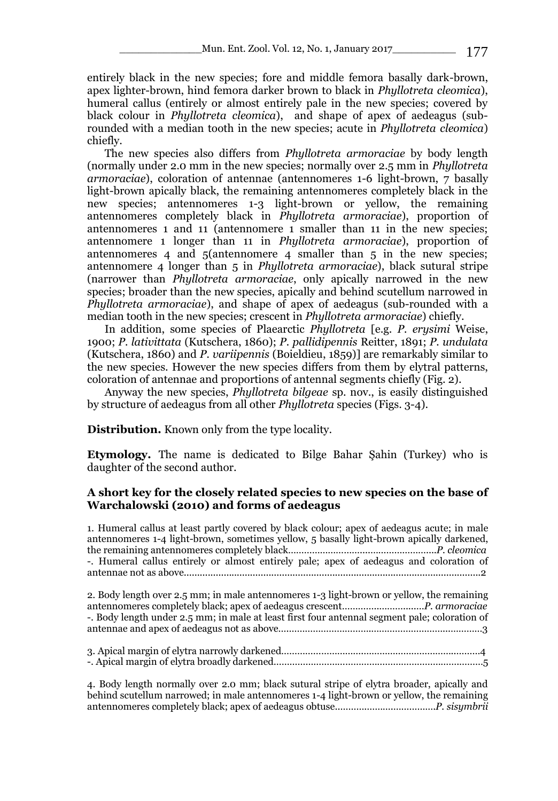entirely black in the new species; fore and middle femora basally dark-brown, apex lighter-brown, hind femora darker brown to black in *Phyllotreta cleomica*), humeral callus (entirely or almost entirely pale in the new species; covered by black colour in *Phyllotreta cleomica*), and shape of apex of aedeagus (subrounded with a median tooth in the new species; acute in *Phyllotreta cleomica*) chiefly.

The new species also differs from *Phyllotreta armoraciae* by body length (normally under 2.0 mm in the new species; normally over 2.5 mm in *Phyllotreta armoraciae*), coloration of antennae (antennomeres 1-6 light-brown, 7 basally light-brown apically black, the remaining antennomeres completely black in the new species; antennomeres 1-3 light-brown or yellow, the remaining antennomeres completely black in *Phyllotreta armoraciae*), proportion of antennomeres 1 and 11 (antennomere 1 smaller than 11 in the new species; antennomere 1 longer than 11 in *Phyllotreta armoraciae*), proportion of antennomeres 4 and 5(antennomere 4 smaller than 5 in the new species; antennomere 4 longer than 5 in *Phyllotreta armoraciae*), black sutural stripe (narrower than *Phyllotreta armoraciae*, only apically narrowed in the new species; broader than the new species, apically and behind scutellum narrowed in *Phyllotreta armoraciae*), and shape of apex of aedeagus (sub-rounded with a median tooth in the new species; crescent in *Phyllotreta armoraciae*) chiefly.

In addition, some species of Plaearctic *Phyllotreta* [e.g. *P. erysimi* Weise, 1900; *P. lativittata* (Kutschera, 1860); *P. pallidipennis* Reitter, 1891; *P. undulata*  (Kutschera, 1860) and *P. variipennis* (Boieldieu, 1859)] are remarkably similar to the new species. However the new species differs from them by elytral patterns, coloration of antennae and proportions of antennal segments chiefly (Fig. 2).

Anyway the new species, *Phyllotreta bilgeae* sp. nov., is easily distinguished by structure of aedeagus from all other *Phyllotreta* species (Figs. 3-4).

**Distribution.** Known only from the type locality.

**Etymology.** The name is dedicated to Bilge Bahar Şahin (Turkey) who is daughter of the second author.

## **A short key for the closely related species to new species on the base of Warchalowski (2010) and forms of aedeagus**

1. Humeral callus at least partly covered by black colour; apex of aedeagus acute; in male antennomeres 1-4 light-brown, sometimes yellow, 5 basally light-brown apically darkened, the remaining antennomeres completely black………………………....…………………....*P. cleomica* -. Humeral callus entirely or almost entirely pale; apex of aedeagus and coloration of antennae not as above................................................................................................................2

2. Body length over 2.5 mm; in male antennomeres 1-3 light-brown or yellow, the remaining antennomeres completely black; apex of aedeagus crescent…………..……….....…*P. armoraciae* -. Body length under 2.5 mm; in male at least first four antennal segment pale; coloration of antennae and apex of aedeagus not as above….………………………….………………………...…………3

4. Body length normally over 2.0 mm; black sutural stripe of elytra broader, apically and behind scutellum narrowed; in male antennomeres 1-4 light-brown or yellow, the remaining antennomeres completely black; apex of aedeagus obtuse..……….……….…………….*P. sisymbrii*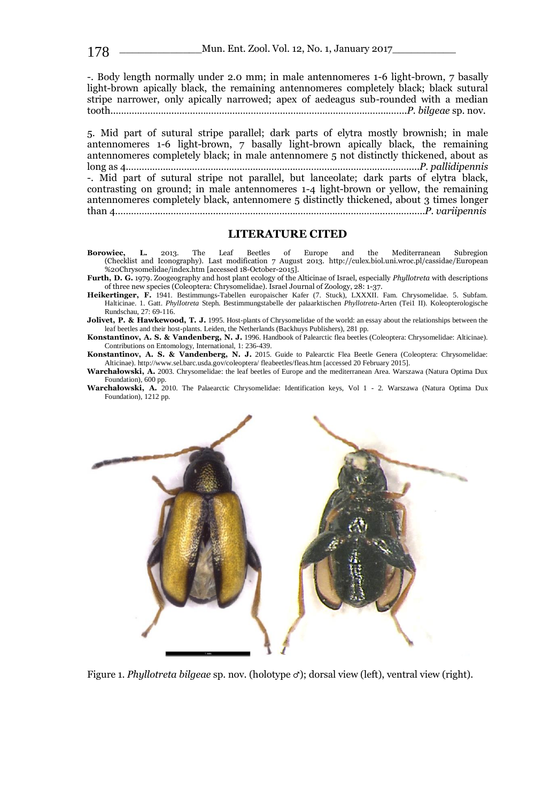-. Body length normally under 2.0 mm; in male antennomeres 1-6 light-brown, 7 basally light-brown apically black, the remaining antennomeres completely black; black sutural stripe narrower, only apically narrowed; apex of aedeagus sub-rounded with a median tooth..………………….……………………………………………………………………...…….*P. bilgeae* sp. nov.

5. Mid part of sutural stripe parallel; dark parts of elytra mostly brownish; in male antennomeres 1-6 light-brown, 7 basally light-brown apically black, the remaining antennomeres completely black; in male antennomere 5 not distinctly thickened, about as long as 4.…………………………………………………………………………………………….....*P. pallidipennis* -. Mid part of sutural stripe not parallel, but lanceolate; dark parts of elytra black, contrasting on ground; in male antennomeres 1-4 light-brown or yellow, the remaining antennomeres completely black, antennomere 5 distinctly thickened, about 3 times longer than 4……………..…………………………………………………………….……………………...…*P. variipennis*

### **LITERATURE CITED**

- **Borowiec, L.** 2013. The Leaf Beetles of Europe and the Mediterranean Subregion (Checklist and Iconography). Last modification 7 August 2013. http://culex.biol.uni.wroc.pl/cassidae/European %20Chrysomelidae/index.htm [accessed 18-October-2015].
- **Furth, D. G.** 1979. Zoogeography and host plant ecology of the Alticinae of Israel, especially *Phyllotreta* with descriptions of three new species (Coleoptera: Chrysomelidae). Israel Journal of Zoology, 28: 1-37.
- **Heikertinger, F.** 1941. Bestimmungs-Tabellen europaischer Kafer (7. Stuck), LXXXII. Fam. Chrysomelidae. 5. Subfam. Halticinae. 1. Gatt. *PhylIotreta* Steph. Bestimmungstabelle der palaarktischen *Phyllotreta*-Arten (Tei1 II). Koleopterologische Rundschau, 27: 69-116.

Jolivet, P. & Hawkewood, T. J. 1995. Host-plants of Chrysomelidae of the world: an essay about the relationships between the leaf beetles and their host-plants. Leiden, the Netherlands (Backhuys Publishers), 281 pp.

**Konstantinov, A. S. & Vandenberg, N. J.** 1996. Handbook of Palearctic flea beetles (Coleoptera: Chrysomelidae: Alticinae). Contributions on Entomology, International, 1: 236-439.

**Konstantinov, A. S. & Vandenberg, N. J.** 2015. Guide to Palearctic Flea Beetle Genera (Coleoptera: Chrysomelidae: Alticinae). http://www.sel.barc.usda.gov/coleoptera/ fleabeetles/fleas.htm [accessed 20 February 2015].

**Warchałowski, A.** 2003. Chrysomelidae: the leaf beetles of Europe and the mediterranean Area. Warszawa (Natura Optima Dux

Foundation), 600 pp. **Warchałowski, A.** 2010. The Palaearctic Chrysomelidae: Identification keys, Vol 1 - 2. Warszawa (Natura Optima Dux Foundation), 1212 pp.



Figure 1. *Phyllotreta bilgeae* sp. nov. (holotype ♂); dorsal view (left), ventral view (right).